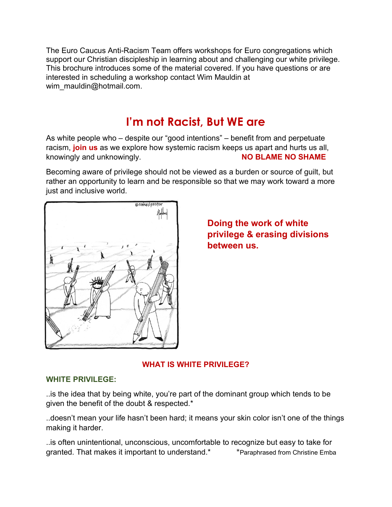The Euro Caucus Anti-Racism Team offers workshops for Euro congregations which support our Christian discipleship in learning about and challenging our white privilege. This brochure introduces some of the material covered. If you have questions or are interested in scheduling a workshop contact Wim Mauldin at wim\_mauldin@hotmail.com.

# I'm not Racist, But WE are

As white people who – despite our "good intentions" – benefit from and perpetuate racism, join us as we explore how systemic racism keeps us apart and hurts us all, knowingly and unknowingly. The same of the state of the NO BLAME NO SHAME

Becoming aware of privilege should not be viewed as a burden or source of guilt, but rather an opportunity to learn and be responsible so that we may work toward a more just and inclusive world.



Doing the work of white privilege & erasing divisions between us.

## WHAT IS WHITE PRIVILEGE?

#### WHITE PRIVILEGE:

..is the idea that by being white, you're part of the dominant group which tends to be given the benefit of the doubt & respected.\*

..doesn't mean your life hasn't been hard; it means your skin color isn't one of the things making it harder.

..is often unintentional, unconscious, uncomfortable to recognize but easy to take for granted. That makes it important to understand.\* \* \* \* Paraphrased from Christine Emba